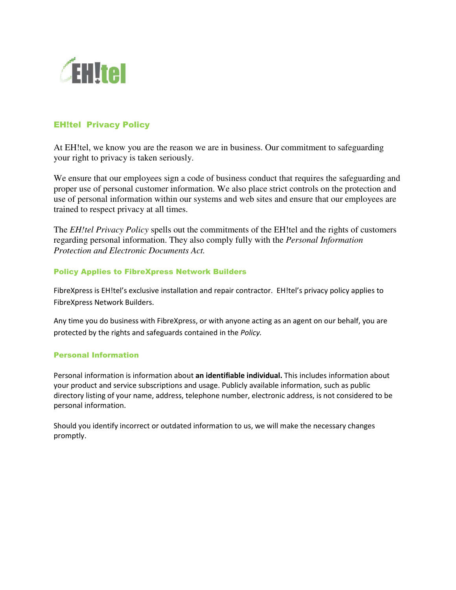

# EH!tel Privacy Policy

At EH!tel, we know you are the reason we are in business. Our commitment to safeguarding your right to privacy is taken seriously.

We ensure that our employees sign a code of business conduct that requires the safeguarding and proper use of personal customer information. We also place strict controls on the protection and use of personal information within our systems and web sites and ensure that our employees are trained to respect privacy at all times.

The *EH!tel Privacy Policy* spells out the commitments of the EH!tel and the rights of customers regarding personal information. They also comply fully with the *Personal Information Protection and Electronic Documents Act.*

### Policy Applies to FibreXpress Network Builders

FibreXpress is EH!tel's exclusive installation and repair contractor. EH!tel's privacy policy applies to FibreXpress Network Builders.

Any time you do business with FibreXpress, or with anyone acting as an agent on our behalf, you are protected by the rights and safeguards contained in the *Policy.* 

### Personal Information

Personal information is information about **an identifiable individual.** This includes information about your product and service subscriptions and usage. Publicly available information, such as public directory listing of your name, address, telephone number, electronic address, is not considered to be personal information.

Should you identify incorrect or outdated information to us, we will make the necessary changes promptly.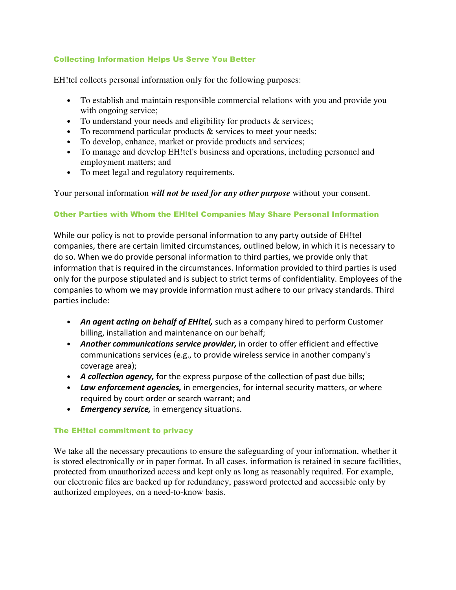## Collecting Information Helps Us Serve You Better

EH!tel collects personal information only for the following purposes:

- To establish and maintain responsible commercial relations with you and provide you with ongoing service;
- To understand your needs and eligibility for products & services;
- To recommend particular products & services to meet your needs;
- To develop, enhance, market or provide products and services;
- To manage and develop EH!tel's business and operations, including personnel and employment matters; and
- To meet legal and regulatory requirements.

Your personal information *will not be used for any other purpose* without your consent.

## Other Parties with Whom the EH!tel Companies May Share Personal Information

While our policy is not to provide personal information to any party outside of EH!tel companies, there are certain limited circumstances, outlined below, in which it is necessary to do so. When we do provide personal information to third parties, we provide only that information that is required in the circumstances. Information provided to third parties is used only for the purpose stipulated and is subject to strict terms of confidentiality. Employees of the companies to whom we may provide information must adhere to our privacy standards. Third parties include:

- *An agent acting on behalf of EH!tel,* such as a company hired to perform Customer billing, installation and maintenance on our behalf;
- *Another communications service provider,* in order to offer efficient and effective communications services (e.g., to provide wireless service in another company's coverage area);
- *A collection agency,* for the express purpose of the collection of past due bills;
- *Law enforcement agencies,* in emergencies, for internal security matters, or where required by court order or search warrant; and
- *Emergency service,* in emergency situations.

## The EH!tel commitment to privacy

We take all the necessary precautions to ensure the safeguarding of your information, whether it is stored electronically or in paper format. In all cases, information is retained in secure facilities, protected from unauthorized access and kept only as long as reasonably required. For example, our electronic files are backed up for redundancy, password protected and accessible only by authorized employees, on a need-to-know basis.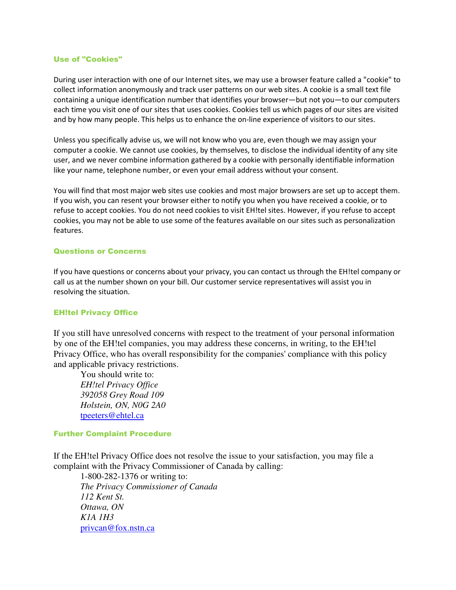#### Use of "Cookies"

During user interaction with one of our Internet sites, we may use a browser feature called a "cookie" to collect information anonymously and track user patterns on our web sites. A cookie is a small text file containing a unique identification number that identifies your browser—but not you—to our computers each time you visit one of our sites that uses cookies. Cookies tell us which pages of our sites are visited and by how many people. This helps us to enhance the on-line experience of visitors to our sites.

Unless you specifically advise us, we will not know who you are, even though we may assign your computer a cookie. We cannot use cookies, by themselves, to disclose the individual identity of any site user, and we never combine information gathered by a cookie with personally identifiable information like your name, telephone number, or even your email address without your consent.

You will find that most major web sites use cookies and most major browsers are set up to accept them. If you wish, you can resent your browser either to notify you when you have received a cookie, or to refuse to accept cookies. You do not need cookies to visit EH!tel sites. However, if you refuse to accept cookies, you may not be able to use some of the features available on our sites such as personalization features.

### Questions or Concerns

If you have questions or concerns about your privacy, you can contact us through the EH!tel company or call us at the number shown on your bill. Our customer service representatives will assist you in resolving the situation.

### EH!tel Privacy Office

If you still have unresolved concerns with respect to the treatment of your personal information by one of the EH!tel companies, you may address these concerns, in writing, to the EH!tel Privacy Office, who has overall responsibility for the companies' compliance with this policy and applicable privacy restrictions.

You should write to:  *EH!tel Privacy Office 392058 Grey Road 109 Holstein, ON, N0G 2A0*  tpeeters@ehtel.ca

#### Further Complaint Procedure

If the EH!tel Privacy Office does not resolve the issue to your satisfaction, you may file a complaint with the Privacy Commissioner of Canada by calling:

1-800-282-1376 or writing to: *The Privacy Commissioner of Canada 112 Kent St. Ottawa, ON K1A 1H3* privcan@fox.nstn.ca